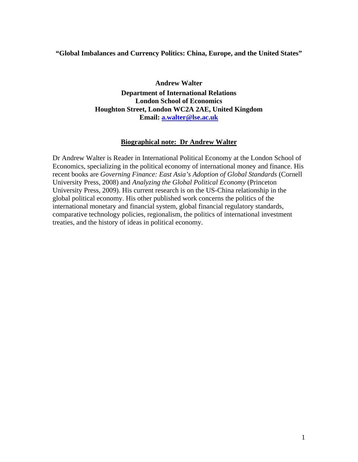## **"Global Imbalances and Currency Politics: China, Europe, and the United States"**

**Andrew Walter Department of International Relations London School of Economics Houghton Street, London WC2A 2AE, United Kingdom Email: [a.walter@lse.ac.uk](mailto:a.walter@lse.ac.uk)**

## **Biographical note: Dr Andrew Walter**

Dr Andrew Walter is Reader in International Political Economy at the London School of Economics, specializing in the political economy of international money and finance. His recent books are *Governing Finance: East Asia's Adoption of Global Standards* (Cornell University Press, 2008) and *Analyzing the Global Political Economy* (Princeton University Press, 2009). His current research is on the US-China relationship in the global political economy. His other published work concerns the politics of the international monetary and financial system, global financial regulatory standards, comparative technology policies, regionalism, the politics of international investment treaties, and the history of ideas in political economy.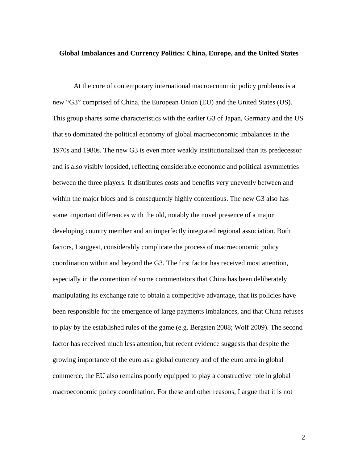#### **Global Imbalances and Currency Politics: China, Europe, and the United States**

At the core of contemporary international macroeconomic policy problems is a new "G3" comprised of China, the European Union (EU) and the United States (US). This group shares some characteristics with the earlier G3 of Japan, Germany and the US that so dominated the political economy of global macroeconomic imbalances in the 1970s and 1980s. The new G3 is even more weakly institutionalized than its predecessor and is also visibly lopsided, reflecting considerable economic and political asymmetries between the three players. It distributes costs and benefits very unevenly between and within the major blocs and is consequently highly contentious. The new G3 also has some important differences with the old, notably the novel presence of a major developing country member and an imperfectly integrated regional association. Both factors, I suggest, considerably complicate the process of macroeconomic policy coordination within and beyond the G3. The first factor has received most attention, especially in the contention of some commentators that China has been deliberately manipulating its exchange rate to obtain a competitive advantage, that its policies have been responsible for the emergence of large payments imbalances, and that China refuses to play by the established rules of the game (e.g. Bergsten 2008; Wolf 2009). The second factor has received much less attention, but recent evidence suggests that despite the growing importance of the euro as a global currency and of the euro area in global commerce, the EU also remains poorly equipped to play a constructive role in global macroeconomic policy coordination. For these and other reasons, I argue that it is not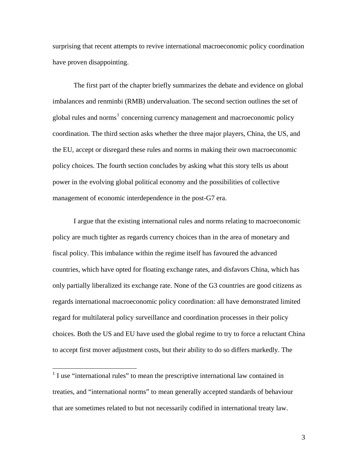surprising that recent attempts to revive international macroeconomic policy coordination have proven disappointing.

The first part of the chapter briefly summarizes the debate and evidence on global imbalances and renminbi (RMB) undervaluation. The second section outlines the set of global rules and norms<sup>[1](#page-2-0)</sup> concerning currency management and macroeconomic policy coordination. The third section asks whether the three major players, China, the US, and the EU, accept or disregard these rules and norms in making their own macroeconomic policy choices. The fourth section concludes by asking what this story tells us about power in the evolving global political economy and the possibilities of collective management of economic interdependence in the post-G7 era.

I argue that the existing international rules and norms relating to macroeconomic policy are much tighter as regards currency choices than in the area of monetary and fiscal policy. This imbalance within the regime itself has favoured the advanced countries, which have opted for floating exchange rates, and disfavors China, which has only partially liberalized its exchange rate. None of the G3 countries are good citizens as regards international macroeconomic policy coordination: all have demonstrated limited regard for multilateral policy surveillance and coordination processes in their policy choices. Both the US and EU have used the global regime to try to force a reluctant China to accept first mover adjustment costs, but their ability to do so differs markedly. The

<span id="page-2-0"></span> $<sup>1</sup>$  I use "international rules" to mean the prescriptive international law contained in</sup> treaties, and "international norms" to mean generally accepted standards of behaviour that are sometimes related to but not necessarily codified in international treaty law.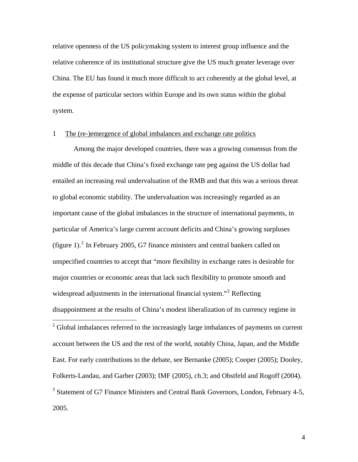relative openness of the US policymaking system to interest group influence and the relative coherence of its institutional structure give the US much greater leverage over China. The EU has found it much more difficult to act coherently at the global level, at the expense of particular sectors within Europe and its own status within the global system.

## 1 The (re-)emergence of global imbalances and exchange rate politics

Among the major developed countries, there was a growing consensus from the middle of this decade that China's fixed exchange rate peg against the US dollar had entailed an increasing real undervaluation of the RMB and that this was a serious threat to global economic stability. The undervaluation was increasingly regarded as an important cause of the global imbalances in the structure of international payments, in particular of America's large current account deficits and China's growing surpluses (figure 1). $^2$  $^2$  In February 2005, G7 finance ministers and central bankers called on unspecified countries to accept that "more flexibility in exchange rates is desirable for major countries or economic areas that lack such flexibility to promote smooth and widespread adjustments in the international financial system."<sup>[3](#page-3-1)</sup> Reflecting disappointment at the results of China's modest liberalization of its currency regime in

<span id="page-3-1"></span><span id="page-3-0"></span><sup>2</sup> Global imbalances referred to the increasingly large imbalances of payments on current account between the US and the rest of the world, notably China, Japan, and the Middle East. For early contributions to the debate, see Bernanke (2005); Cooper (2005); Dooley, Folkerts-Landau, and Garber (2003); IMF (2005), ch.3; and Obstfeld and Rogoff (2004). <sup>3</sup> Statement of G7 Finance Ministers and Central Bank Governors, London, February 4-5, 2005.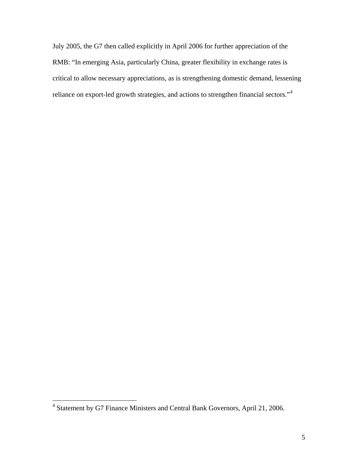July 2005, the G7 then called explicitly in April 2006 for further appreciation of the RMB: "In emerging Asia, particularly China, greater flexibility in exchange rates is critical to allow necessary appreciations, as is strengthening domestic demand, lessening reliance on export-led growth strategies, and actions to strengthen financial sectors."<sup>[4](#page-4-0)</sup>

<span id="page-4-0"></span> 4 Statement by G7 Finance Ministers and Central Bank Governors, April 21, 2006.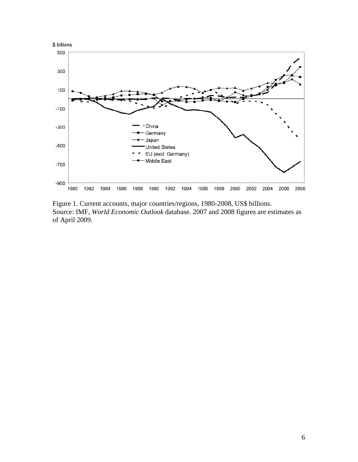

Figure 1. Current accounts, major countries/regions, 1980-2008, US\$ billions. Source: IMF, *World Economic Outlook* database. 2007 and 2008 figures are estimates as of April 2009.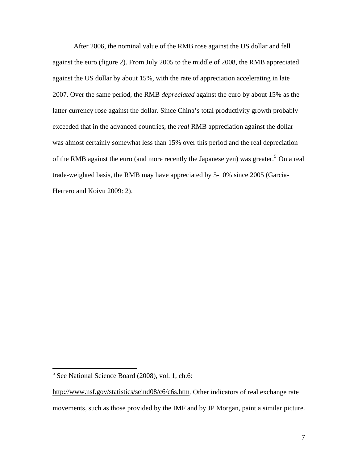After 2006, the nominal value of the RMB rose against the US dollar and fell against the euro (figure 2). From July 2005 to the middle of 2008, the RMB appreciated against the US dollar by about 15%, with the rate of appreciation accelerating in late 2007. Over the same period, the RMB *depreciated* against the euro by about 15% as the latter currency rose against the dollar. Since China's total productivity growth probably exceeded that in the advanced countries, the *real* RMB appreciation against the dollar was almost certainly somewhat less than 15% over this period and the real depreciation of the RMB against the euro (and more recently the Japanese yen) was greater.<sup>[5](#page-6-0)</sup> On a real trade-weighted basis, the RMB may have appreciated by 5-10% since 2005 (Garcia-Herrero and Koivu 2009: 2).

<span id="page-6-0"></span><sup>5</sup> See National Science Board (2008), vol. 1, ch.6:

<http://www.nsf.gov/statistics/seind08/c6/c6s.htm>. Other indicators of real exchange rate movements, such as those provided by the IMF and by JP Morgan, paint a similar picture.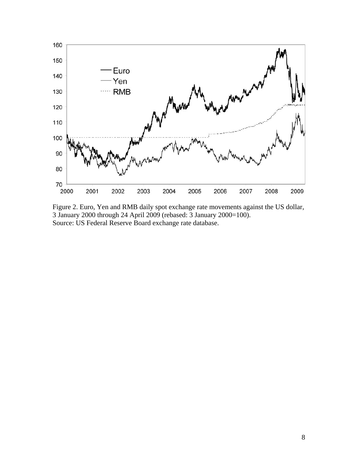

Figure 2. Euro, Yen and RMB daily spot exchange rate movements against the US dollar, 3 January 2000 through 24 April 2009 (rebased: 3 January 2000=100). Source: US Federal Reserve Board exchange rate database.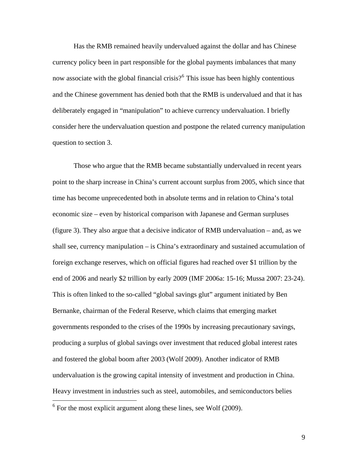Has the RMB remained heavily undervalued against the dollar and has Chinese currency policy been in part responsible for the global payments imbalances that many now associate with the global financial crisis?<sup>[6](#page-8-0)</sup> This issue has been highly contentious and the Chinese government has denied both that the RMB is undervalued and that it has deliberately engaged in "manipulation" to achieve currency undervaluation. I briefly consider here the undervaluation question and postpone the related currency manipulation question to section 3.

Those who argue that the RMB became substantially undervalued in recent years point to the sharp increase in China's current account surplus from 2005, which since that time has become unprecedented both in absolute terms and in relation to China's total economic size – even by historical comparison with Japanese and German surpluses (figure 3). They also argue that a decisive indicator of RMB undervaluation – and, as we shall see, currency manipulation – is China's extraordinary and sustained accumulation of foreign exchange reserves, which on official figures had reached over \$1 trillion by the end of 2006 and nearly \$2 trillion by early 2009 (IMF 2006a: 15-16; Mussa 2007: 23-24). This is often linked to the so-called "global savings glut" argument initiated by Ben Bernanke, chairman of the Federal Reserve, which claims that emerging market governments responded to the crises of the 1990s by increasing precautionary savings, producing a surplus of global savings over investment that reduced global interest rates and fostered the global boom after 2003 (Wolf 2009). Another indicator of RMB undervaluation is the growing capital intensity of investment and production in China. Heavy investment in industries such as steel, automobiles, and semiconductors belies

<span id="page-8-0"></span><sup>&</sup>lt;sup>6</sup> For the most explicit argument along these lines, see Wolf (2009).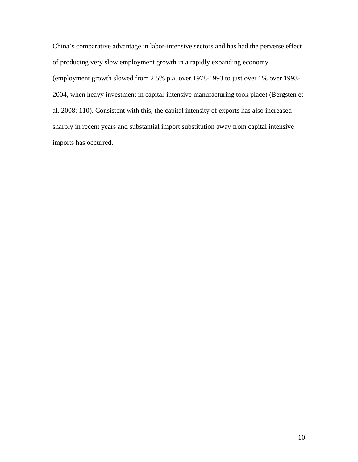China's comparative advantage in labor-intensive sectors and has had the perverse effect of producing very slow employment growth in a rapidly expanding economy (employment growth slowed from 2.5% p.a. over 1978-1993 to just over 1% over 1993- 2004, when heavy investment in capital-intensive manufacturing took place) (Bergsten et al. 2008: 110). Consistent with this, the capital intensity of exports has also increased sharply in recent years and substantial import substitution away from capital intensive imports has occurred.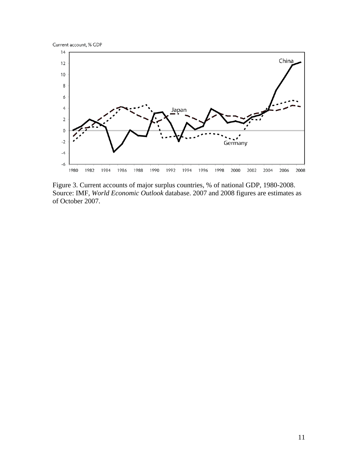



Figure 3. Current accounts of major surplus countries, % of national GDP, 1980-2008. Source: IMF, *World Economic Outlook* database. 2007 and 2008 figures are estimates as of October 2007.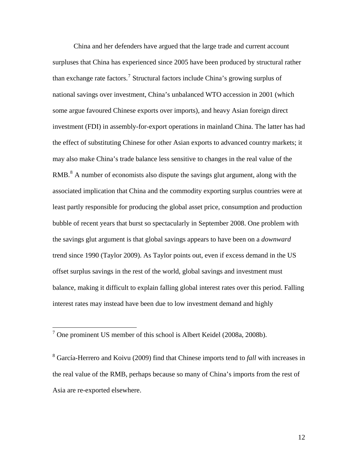China and her defenders have argued that the large trade and current account surpluses that China has experienced since 2005 have been produced by structural rather than exchange rate factors.<sup>[7](#page-11-0)</sup> Structural factors include China's growing surplus of national savings over investment, China's unbalanced WTO accession in 2001 (which some argue favoured Chinese exports over imports), and heavy Asian foreign direct investment (FDI) in assembly-for-export operations in mainland China. The latter has had the effect of substituting Chinese for other Asian exports to advanced country markets; it may also make China's trade balance less sensitive to changes in the real value of the RMB.<sup>[8](#page-11-1)</sup> A number of economists also dispute the savings glut argument, along with the associated implication that China and the commodity exporting surplus countries were at least partly responsible for producing the global asset price, consumption and production bubble of recent years that burst so spectacularly in September 2008. One problem with the savings glut argument is that global savings appears to have been on a *downward* trend since 1990 (Taylor 2009). As Taylor points out, even if excess demand in the US offset surplus savings in the rest of the world, global savings and investment must balance, making it difficult to explain falling global interest rates over this period. Falling interest rates may instead have been due to low investment demand and highly

1

<span id="page-11-1"></span>8 García-Herrero and Koivu (2009) find that Chinese imports tend to *fall* with increases in the real value of the RMB, perhaps because so many of China's imports from the rest of Asia are re-exported elsewhere.

<span id="page-11-0"></span> $7$  One prominent US member of this school is Albert Keidel (2008a, 2008b).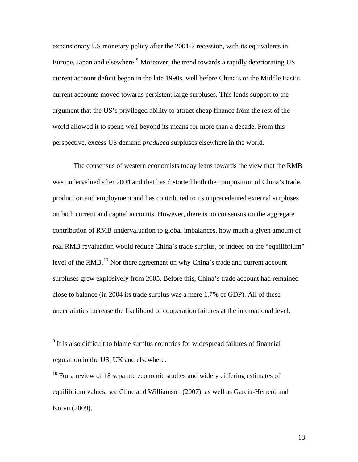expansionary US monetary policy after the 2001-2 recession, with its equivalents in Europe, Japan and elsewhere.<sup>[9](#page-12-0)</sup> Moreover, the trend towards a rapidly deteriorating US current account deficit began in the late 1990s, well before China's or the Middle East's current accounts moved towards persistent large surpluses. This lends support to the argument that the US's privileged ability to attract cheap finance from the rest of the world allowed it to spend well beyond its means for more than a decade. From this perspective, excess US demand *produced* surpluses elsewhere in the world.

The consensus of western economists today leans towards the view that the RMB was undervalued after 2004 and that has distorted both the composition of China's trade, production and employment and has contributed to its unprecedented external surpluses on both current and capital accounts. However, there is no consensus on the aggregate contribution of RMB undervaluation to global imbalances, how much a given amount of real RMB revaluation would reduce China's trade surplus, or indeed on the "equilibrium" level of the RMB.<sup>[10](#page-12-1)</sup> Nor there agreement on why China's trade and current account surpluses grew explosively from 2005. Before this, China's trade account had remained close to balance (in 2004 its trade surplus was a mere 1.7% of GDP). All of these uncertainties increase the likelihood of cooperation failures at the international level.

 $\overline{a}$ 

<span id="page-12-1"></span> $10$  For a review of 18 separate economic studies and widely differing estimates of equilibrium values, see Cline and Williamson (2007), as well as Garcia-Herrero and Koivu (2009).

<span id="page-12-0"></span><sup>&</sup>lt;sup>9</sup> It is also difficult to blame surplus countries for widespread failures of financial regulation in the US, UK and elsewhere.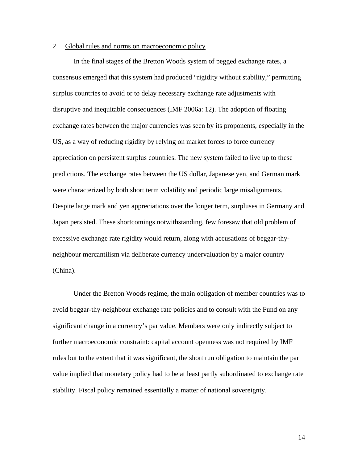## 2 Global rules and norms on macroeconomic policy

In the final stages of the Bretton Woods system of pegged exchange rates, a consensus emerged that this system had produced "rigidity without stability," permitting surplus countries to avoid or to delay necessary exchange rate adjustments with disruptive and inequitable consequences (IMF 2006a: 12). The adoption of floating exchange rates between the major currencies was seen by its proponents, especially in the US, as a way of reducing rigidity by relying on market forces to force currency appreciation on persistent surplus countries. The new system failed to live up to these predictions. The exchange rates between the US dollar, Japanese yen, and German mark were characterized by both short term volatility and periodic large misalignments. Despite large mark and yen appreciations over the longer term, surpluses in Germany and Japan persisted. These shortcomings notwithstanding, few foresaw that old problem of excessive exchange rate rigidity would return, along with accusations of beggar-thyneighbour mercantilism via deliberate currency undervaluation by a major country (China).

Under the Bretton Woods regime, the main obligation of member countries was to avoid beggar-thy-neighbour exchange rate policies and to consult with the Fund on any significant change in a currency's par value. Members were only indirectly subject to further macroeconomic constraint: capital account openness was not required by IMF rules but to the extent that it was significant, the short run obligation to maintain the par value implied that monetary policy had to be at least partly subordinated to exchange rate stability. Fiscal policy remained essentially a matter of national sovereignty.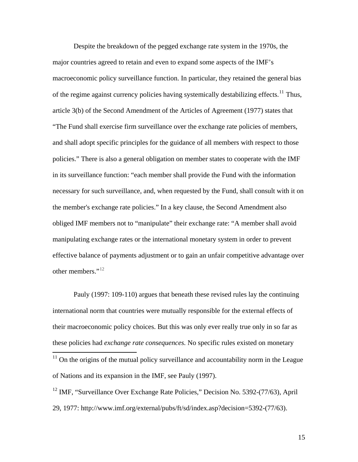Despite the breakdown of the pegged exchange rate system in the 1970s, the major countries agreed to retain and even to expand some aspects of the IMF's macroeconomic policy surveillance function. In particular, they retained the general bias of the regime against currency policies having systemically destabilizing effects.<sup>[11](#page-14-0)</sup> Thus, article 3(b) of the Second Amendment of the Articles of Agreement (1977) states that "The Fund shall exercise firm surveillance over the exchange rate policies of members, and shall adopt specific principles for the guidance of all members with respect to those policies." There is also a general obligation on member states to cooperate with the IMF in its surveillance function: "each member shall provide the Fund with the information necessary for such surveillance, and, when requested by the Fund, shall consult with it on the member's exchange rate policies." In a key clause, the Second Amendment also obliged IMF members not to "manipulate" their exchange rate: "A member shall avoid manipulating exchange rates or the international monetary system in order to prevent effective balance of payments adjustment or to gain an unfair competitive advantage over other members."<sup>[12](#page-14-1)</sup>

Pauly (1997: 109-110) argues that beneath these revised rules lay the continuing international norm that countries were mutually responsible for the external effects of their macroeconomic policy choices. But this was only ever really true only in so far as these policies had *exchange rate consequences.* No specific rules existed on monetary

 $\overline{a}$ 

<span id="page-14-1"></span><sup>12</sup> IMF, "Surveillance Over Exchange Rate Policies," Decision No. 5392-(77/63), April 29, 1977: http://www.imf.org/external/pubs/ft/sd/index.asp?decision=5392-(77/63).

<span id="page-14-0"></span> $11$  On the origins of the mutual policy surveillance and accountability norm in the League of Nations and its expansion in the IMF, see Pauly (1997).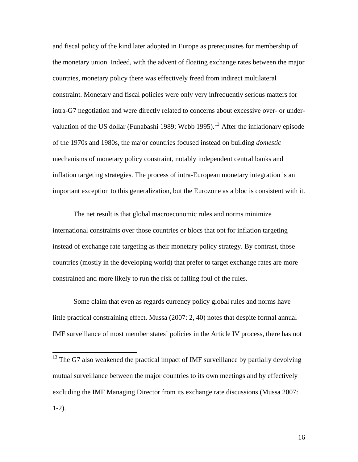and fiscal policy of the kind later adopted in Europe as prerequisites for membership of the monetary union. Indeed, with the advent of floating exchange rates between the major countries, monetary policy there was effectively freed from indirect multilateral constraint. Monetary and fiscal policies were only very infrequently serious matters for intra-G7 negotiation and were directly related to concerns about excessive over- or under-valuation of the US dollar (Funabashi 1989; Webb 1995).<sup>[13](#page-15-0)</sup> After the inflationary episode of the 1970s and 1980s, the major countries focused instead on building *domestic* mechanisms of monetary policy constraint, notably independent central banks and inflation targeting strategies. The process of intra-European monetary integration is an important exception to this generalization, but the Eurozone as a bloc is consistent with it.

The net result is that global macroeconomic rules and norms minimize international constraints over those countries or blocs that opt for inflation targeting instead of exchange rate targeting as their monetary policy strategy. By contrast, those countries (mostly in the developing world) that prefer to target exchange rates are more constrained and more likely to run the risk of falling foul of the rules.

Some claim that even as regards currency policy global rules and norms have little practical constraining effect. Mussa (2007: 2, 40) notes that despite formal annual IMF surveillance of most member states' policies in the Article IV process, there has not

1

<span id="page-15-0"></span> $13$  The G7 also weakened the practical impact of IMF surveillance by partially devolving mutual surveillance between the major countries to its own meetings and by effectively excluding the IMF Managing Director from its exchange rate discussions (Mussa 2007: 1-2).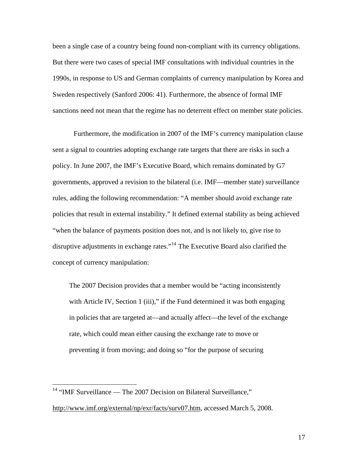been a single case of a country being found non-compliant with its currency obligations. But there were two cases of special IMF consultations with individual countries in the 1990s, in response to US and German complaints of currency manipulation by Korea and Sweden respectively (Sanford 2006: 41). Furthermore, the absence of formal IMF sanctions need not mean that the regime has no deterrent effect on member state policies.

Furthermore, the modification in 2007 of the IMF's currency manipulation clause sent a signal to countries adopting exchange rate targets that there are risks in such a policy. In June 2007, the IMF's Executive Board, which remains dominated by G7 governments, approved a revision to the bilateral (i.e. IMF—member state) surveillance rules, adding the following recommendation: "A member should avoid exchange rate policies that result in external instability." It defined external stability as being achieved "when the balance of payments position does not, and is not likely to, give rise to disruptive adjustments in exchange rates."<sup>[14](#page-16-0)</sup> The Executive Board also clarified the concept of currency manipulation:

The 2007 Decision provides that a member would be "acting inconsistently with Article IV, Section 1 (iii)," if the Fund determined it was both engaging in policies that are targeted at—and actually affect—the level of the exchange rate, which could mean either causing the exchange rate to move or preventing it from moving; and doing so "for the purpose of securing

<span id="page-16-0"></span><sup>&</sup>lt;sup>14</sup> "IMF Surveillance — The 2007 Decision on Bilateral Surveillance," [http://www.imf.org/external/np/exr/facts/surv07.htm,](http://www.imf.org/external/np/exr/facts/surv07.htm) accessed March 5, 2008.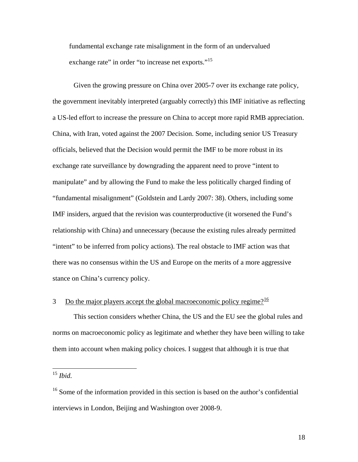fundamental exchange rate misalignment in the form of an undervalued exchange rate" in order "to increase net exports."<sup>[15](#page-17-0)</sup>

Given the growing pressure on China over 2005-7 over its exchange rate policy, the government inevitably interpreted (arguably correctly) this IMF initiative as reflecting a US-led effort to increase the pressure on China to accept more rapid RMB appreciation. China, with Iran, voted against the 2007 Decision. Some, including senior US Treasury officials, believed that the Decision would permit the IMF to be more robust in its exchange rate surveillance by downgrading the apparent need to prove "intent to manipulate" and by allowing the Fund to make the less politically charged finding of "fundamental misalignment" (Goldstein and Lardy 2007: 38). Others, including some IMF insiders, argued that the revision was counterproductive (it worsened the Fund's relationship with China) and unnecessary (because the existing rules already permitted "intent" to be inferred from policy actions). The real obstacle to IMF action was that there was no consensus within the US and Europe on the merits of a more aggressive stance on China's currency policy.

# 3 Do the major players accept the global macroeconomic policy regime?  $\frac{16}{16}$  $\frac{16}{16}$  $\frac{16}{16}$

This section considers whether China, the US and the EU see the global rules and norms on macroeconomic policy as legitimate and whether they have been willing to take them into account when making policy choices. I suggest that although it is true that

<span id="page-17-0"></span><sup>15</sup> *Ibid.*

<span id="page-17-1"></span><sup>&</sup>lt;sup>16</sup> Some of the information provided in this section is based on the author's confidential interviews in London, Beijing and Washington over 2008-9.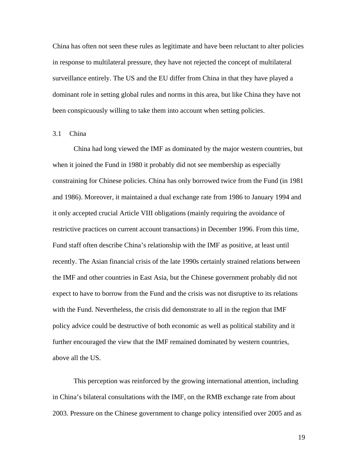China has often not seen these rules as legitimate and have been reluctant to alter policies in response to multilateral pressure, they have not rejected the concept of multilateral surveillance entirely. The US and the EU differ from China in that they have played a dominant role in setting global rules and norms in this area, but like China they have not been conspicuously willing to take them into account when setting policies.

#### 3.1 China

China had long viewed the IMF as dominated by the major western countries, but when it joined the Fund in 1980 it probably did not see membership as especially constraining for Chinese policies. China has only borrowed twice from the Fund (in 1981 and 1986). Moreover, it maintained a dual exchange rate from 1986 to January 1994 and it only accepted crucial Article VIII obligations (mainly requiring the avoidance of restrictive practices on current account transactions) in December 1996. From this time, Fund staff often describe China's relationship with the IMF as positive, at least until recently. The Asian financial crisis of the late 1990s certainly strained relations between the IMF and other countries in East Asia, but the Chinese government probably did not expect to have to borrow from the Fund and the crisis was not disruptive to its relations with the Fund. Nevertheless, the crisis did demonstrate to all in the region that IMF policy advice could be destructive of both economic as well as political stability and it further encouraged the view that the IMF remained dominated by western countries, above all the US.

This perception was reinforced by the growing international attention, including in China's bilateral consultations with the IMF, on the RMB exchange rate from about 2003. Pressure on the Chinese government to change policy intensified over 2005 and as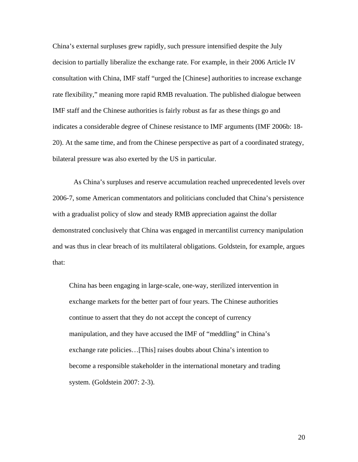China's external surpluses grew rapidly, such pressure intensified despite the July decision to partially liberalize the exchange rate. For example, in their 2006 Article IV consultation with China, IMF staff "urged the [Chinese] authorities to increase exchange rate flexibility," meaning more rapid RMB revaluation. The published dialogue between IMF staff and the Chinese authorities is fairly robust as far as these things go and indicates a considerable degree of Chinese resistance to IMF arguments (IMF 2006b: 18- 20). At the same time, and from the Chinese perspective as part of a coordinated strategy, bilateral pressure was also exerted by the US in particular.

As China's surpluses and reserve accumulation reached unprecedented levels over 2006-7, some American commentators and politicians concluded that China's persistence with a gradualist policy of slow and steady RMB appreciation against the dollar demonstrated conclusively that China was engaged in mercantilist currency manipulation and was thus in clear breach of its multilateral obligations. Goldstein, for example, argues that:

China has been engaging in large-scale, one-way, sterilized intervention in exchange markets for the better part of four years. The Chinese authorities continue to assert that they do not accept the concept of currency manipulation, and they have accused the IMF of "meddling" in China's exchange rate policies…[This] raises doubts about China's intention to become a responsible stakeholder in the international monetary and trading system. (Goldstein 2007: 2-3).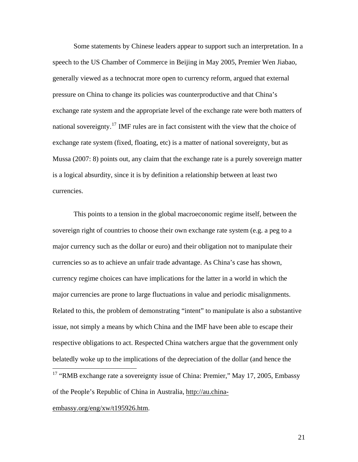Some statements by Chinese leaders appear to support such an interpretation. In a speech to the US Chamber of Commerce in Beijing in May 2005, Premier Wen Jiabao, generally viewed as a technocrat more open to currency reform, argued that external pressure on China to change its policies was counterproductive and that China's exchange rate system and the appropriate level of the exchange rate were both matters of national sovereignty.<sup>[17](#page-20-0)</sup> IMF rules are in fact consistent with the view that the choice of exchange rate system (fixed, floating, etc) is a matter of national sovereignty, but as Mussa (2007: 8) points out, any claim that the exchange rate is a purely sovereign matter is a logical absurdity, since it is by definition a relationship between at least two currencies.

This points to a tension in the global macroeconomic regime itself, between the sovereign right of countries to choose their own exchange rate system (e.g. a peg to a major currency such as the dollar or euro) and their obligation not to manipulate their currencies so as to achieve an unfair trade advantage. As China's case has shown, currency regime choices can have implications for the latter in a world in which the major currencies are prone to large fluctuations in value and periodic misalignments. Related to this, the problem of demonstrating "intent" to manipulate is also a substantive issue, not simply a means by which China and the IMF have been able to escape their respective obligations to act. Respected China watchers argue that the government only belatedly woke up to the implications of the depreciation of the dollar (and hence the

<span id="page-20-0"></span><sup>17</sup> "RMB exchange rate a sovereignty issue of China: Premier," May 17, 2005, Embassy of the People's Republic of China in Australia, [http://au.china-](http://au.china-embassy.org/eng/xw/t195926.htm)

#### [embassy.org/eng/xw/t195926.htm](http://au.china-embassy.org/eng/xw/t195926.htm).

<u>.</u>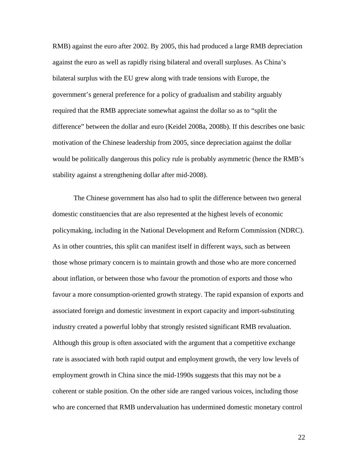RMB) against the euro after 2002. By 2005, this had produced a large RMB depreciation against the euro as well as rapidly rising bilateral and overall surpluses. As China's bilateral surplus with the EU grew along with trade tensions with Europe, the government's general preference for a policy of gradualism and stability arguably required that the RMB appreciate somewhat against the dollar so as to "split the difference" between the dollar and euro (Keidel 2008a, 2008b). If this describes one basic motivation of the Chinese leadership from 2005, since depreciation against the dollar would be politically dangerous this policy rule is probably asymmetric (hence the RMB's stability against a strengthening dollar after mid-2008).

The Chinese government has also had to split the difference between two general domestic constituencies that are also represented at the highest levels of economic policymaking, including in the National Development and Reform Commission (NDRC). As in other countries, this split can manifest itself in different ways, such as between those whose primary concern is to maintain growth and those who are more concerned about inflation, or between those who favour the promotion of exports and those who favour a more consumption-oriented growth strategy. The rapid expansion of exports and associated foreign and domestic investment in export capacity and import-substituting industry created a powerful lobby that strongly resisted significant RMB revaluation. Although this group is often associated with the argument that a competitive exchange rate is associated with both rapid output and employment growth, the very low levels of employment growth in China since the mid-1990s suggests that this may not be a coherent or stable position. On the other side are ranged various voices, including those who are concerned that RMB undervaluation has undermined domestic monetary control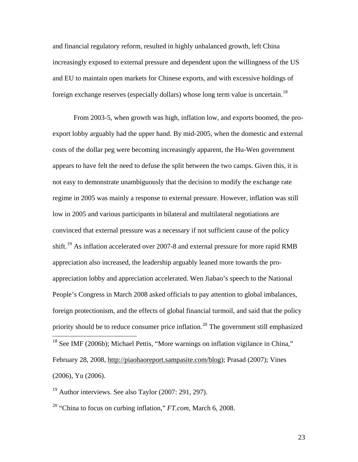and financial regulatory reform, resulted in highly unbalanced growth, left China increasingly exposed to external pressure and dependent upon the willingness of the US and EU to maintain open markets for Chinese exports, and with excessive holdings of foreign exchange reserves (especially dollars) whose long term value is uncertain.[18](#page-22-0)

From 2003-5, when growth was high, inflation low, and exports boomed, the proexport lobby arguably had the upper hand. By mid-2005, when the domestic and external costs of the dollar peg were becoming increasingly apparent, the Hu-Wen government appears to have felt the need to defuse the split between the two camps. Given this, it is not easy to demonstrate unambiguously that the decision to modify the exchange rate regime in 2005 was mainly a response to external pressure. However, inflation was still low in 2005 and various participants in bilateral and multilateral negotiations are convinced that external pressure was a necessary if not sufficient cause of the policy shift.<sup>[19](#page-22-1)</sup> As inflation accelerated over 2007-8 and external pressure for more rapid RMB appreciation also increased, the leadership arguably leaned more towards the proappreciation lobby and appreciation accelerated. Wen Jiabao's speech to the National People's Congress in March 2008 asked officials to pay attention to global imbalances, foreign protectionism, and the effects of global financial turmoil, and said that the policy priority should be to reduce consumer price inflation.<sup>[20](#page-22-2)</sup> The government still emphasized 1 <sup>18</sup> See IMF (2006b); Michael Pettis, "More warnings on inflation vigilance in China,"

<span id="page-22-0"></span>February 28, 2008,<http://piaohaoreport.sampasite.com/blog>); Prasad (2007); Vines (2006), Yu (2006).

<span id="page-22-1"></span>19 Author interviews. See also Taylor (2007: 291, 297).

<span id="page-22-2"></span>20 "China to focus on curbing inflation," *FT.com*, March 6, 2008.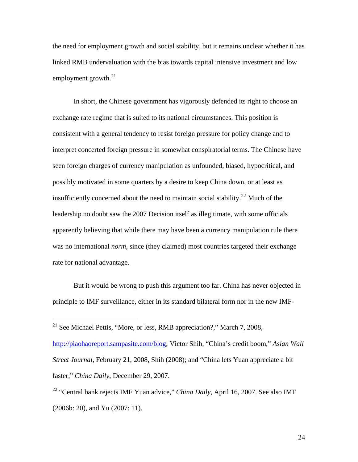the need for employment growth and social stability, but it remains unclear whether it has linked RMB undervaluation with the bias towards capital intensive investment and low employment growth. $^{21}$  $^{21}$  $^{21}$ 

In short, the Chinese government has vigorously defended its right to choose an exchange rate regime that is suited to its national circumstances. This position is consistent with a general tendency to resist foreign pressure for policy change and to interpret concerted foreign pressure in somewhat conspiratorial terms. The Chinese have seen foreign charges of currency manipulation as unfounded, biased, hypocritical, and possibly motivated in some quarters by a desire to keep China down, or at least as insufficiently concerned about the need to maintain social stability.<sup>[22](#page-23-1)</sup> Much of the leadership no doubt saw the 2007 Decision itself as illegitimate, with some officials apparently believing that while there may have been a currency manipulation rule there was no international *norm,* since (they claimed) most countries targeted their exchange rate for national advantage.

But it would be wrong to push this argument too far. China has never objected in principle to IMF surveillance, either in its standard bilateral form nor in the new IMF-

<span id="page-23-0"></span><sup>&</sup>lt;sup>21</sup> See Michael Pettis, "More, or less, RMB appreciation?," March 7, 2008,

[http://piaohaoreport.sampasite.com/blog;](http://piaohaoreport.sampasite.com/blog) Victor Shih, "China's credit boom," *Asian Wall Street Journal*, February 21, 2008, Shih (2008); and "China lets Yuan appreciate a bit faster," *China Daily*, December 29, 2007.

<span id="page-23-1"></span><sup>&</sup>lt;sup>22</sup> "Central bank rejects IMF Yuan advice," *China Daily*, April 16, 2007. See also IMF (2006b: 20), and Yu (2007: 11).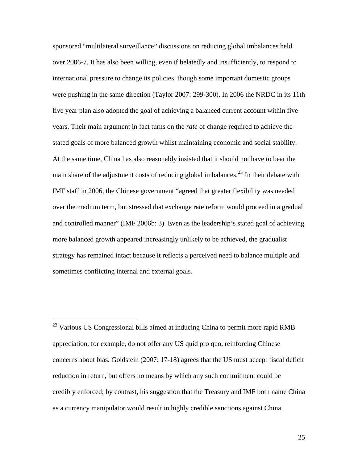sponsored "multilateral surveillance" discussions on reducing global imbalances held over 2006-7. It has also been willing, even if belatedly and insufficiently, to respond to international pressure to change its policies, though some important domestic groups were pushing in the same direction (Taylor 2007: 299-300). In 2006 the NRDC in its 11th five year plan also adopted the goal of achieving a balanced current account within five years. Their main argument in fact turns on the *rate* of change required to achieve the stated goals of more balanced growth whilst maintaining economic and social stability. At the same time, China has also reasonably insisted that it should not have to bear the main share of the adjustment costs of reducing global imbalances.<sup>[23](#page-24-0)</sup> In their debate with IMF staff in 2006, the Chinese government "agreed that greater flexibility was needed over the medium term, but stressed that exchange rate reform would proceed in a gradual and controlled manner" (IMF 2006b: 3). Even as the leadership's stated goal of achieving more balanced growth appeared increasingly unlikely to be achieved, the gradualist strategy has remained intact because it reflects a perceived need to balance multiple and sometimes conflicting internal and external goals.

<span id="page-24-0"></span> $^{23}$  Various US Congressional bills aimed at inducing China to permit more rapid RMB appreciation, for example, do not offer any US quid pro quo, reinforcing Chinese concerns about bias. Goldstein (2007: 17-18) agrees that the US must accept fiscal deficit reduction in return, but offers no means by which any such commitment could be credibly enforced; by contrast, his suggestion that the Treasury and IMF both name China as a currency manipulator would result in highly credible sanctions against China.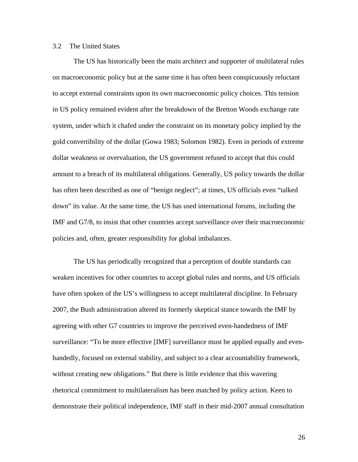## 3.2 The United States

The US has historically been the main architect and supporter of multilateral rules on macroeconomic policy but at the same time it has often been conspicuously reluctant to accept external constraints upon its own macroeconomic policy choices. This tension in US policy remained evident after the breakdown of the Bretton Woods exchange rate system, under which it chafed under the constraint on its monetary policy implied by the gold convertibility of the dollar (Gowa 1983; Solomon 1982). Even in periods of extreme dollar weakness or overvaluation, the US government refused to accept that this could amount to a breach of its multilateral obligations. Generally, US policy towards the dollar has often been described as one of "benign neglect"; at times, US officials even "talked down" its value. At the same time, the US has used international forums, including the IMF and G7/8, to insist that other countries accept surveillance over their macroeconomic policies and, often, greater responsibility for global imbalances.

The US has periodically recognized that a perception of double standards can weaken incentives for other countries to accept global rules and norms, and US officials have often spoken of the US's willingness to accept multilateral discipline. In February 2007, the Bush administration altered its formerly skeptical stance towards the IMF by agreeing with other G7 countries to improve the perceived even-handedness of IMF surveillance: "To be more effective [IMF] surveillance must be applied equally and evenhandedly, focused on external stability, and subject to a clear accountability framework, without creating new obligations." But there is little evidence that this wavering rhetorical commitment to multilateralism has been matched by policy action. Keen to demonstrate their political independence, IMF staff in their mid-2007 annual consultation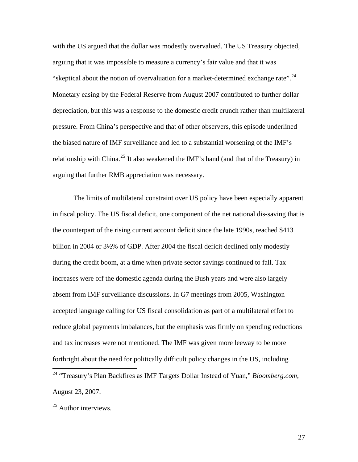with the US argued that the dollar was modestly overvalued. The US Treasury objected, arguing that it was impossible to measure a currency's fair value and that it was "skeptical about the notion of overvaluation for a market-determined exchange rate".<sup>[24](#page-26-0)</sup> Monetary easing by the Federal Reserve from August 2007 contributed to further dollar depreciation, but this was a response to the domestic credit crunch rather than multilateral pressure. From China's perspective and that of other observers, this episode underlined the biased nature of IMF surveillance and led to a substantial worsening of the IMF's relationship with China.<sup>[25](#page-26-1)</sup> It also weakened the IMF's hand (and that of the Treasury) in arguing that further RMB appreciation was necessary.

The limits of multilateral constraint over US policy have been especially apparent in fiscal policy. The US fiscal deficit, one component of the net national dis-saving that is the counterpart of the rising current account deficit since the late 1990s, reached \$413 billion in 2004 or 3½% of GDP. After 2004 the fiscal deficit declined only modestly during the credit boom, at a time when private sector savings continued to fall. Tax increases were off the domestic agenda during the Bush years and were also largely absent from IMF surveillance discussions. In G7 meetings from 2005, Washington accepted language calling for US fiscal consolidation as part of a multilateral effort to reduce global payments imbalances, but the emphasis was firmly on spending reductions and tax increases were not mentioned. The IMF was given more leeway to be more forthright about the need for politically difficult policy changes in the US, including <u>.</u>

<span id="page-26-0"></span><sup>24 &</sup>quot;Treasury's Plan Backfires as IMF Targets Dollar Instead of Yuan," *Bloomberg.com*, August 23, 2007.

<span id="page-26-1"></span> $^{25}$  Author interviews.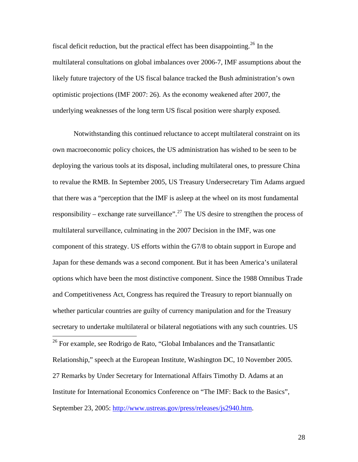fiscal deficit reduction, but the practical effect has been disappointing.<sup>[26](#page-27-0)</sup> In the multilateral consultations on global imbalances over 2006-7, IMF assumptions about the likely future trajectory of the US fiscal balance tracked the Bush administration's own optimistic projections (IMF 2007: 26). As the economy weakened after 2007, the underlying weaknesses of the long term US fiscal position were sharply exposed.

<span id="page-27-1"></span><span id="page-27-0"></span>Notwithstanding this continued reluctance to accept multilateral constraint on its own macroeconomic policy choices, the US administration has wished to be seen to be deploying the various tools at its disposal, including multilateral ones, to pressure China to revalue the RMB. In September 2005, US Treasury Undersecretary Tim Adams argued that there was a "perception that the IMF is asleep at the wheel on its most fundamental responsibility – exchange rate surveillance".<sup>[27](#page-27-1)</sup> The US desire to strengthen the process of multilateral surveillance, culminating in the 2007 Decision in the IMF, was one component of this strategy. US efforts within the G7/8 to obtain support in Europe and Japan for these demands was a second component. But it has been America's unilateral options which have been the most distinctive component. Since the 1988 Omnibus Trade and Competitiveness Act, Congress has required the Treasury to report biannually on whether particular countries are guilty of currency manipulation and for the Treasury secretary to undertake multilateral or bilateral negotiations with any such countries. US  $\overline{a}$ <sup>26</sup> For example, see Rodrigo de Rato, "Global Imbalances and the Transatlantic Relationship," speech at the European Institute, Washington DC, 10 November 2005. 27 Remarks by Under Secretary for International Affairs Timothy D. Adams at an Institute for International Economics Conference on "The IMF: Back to the Basics", September 23, 2005: [http://www.ustreas.gov/press/releases/js2940.htm.](http://www.ustreas.gov/press/releases/js2940.htm)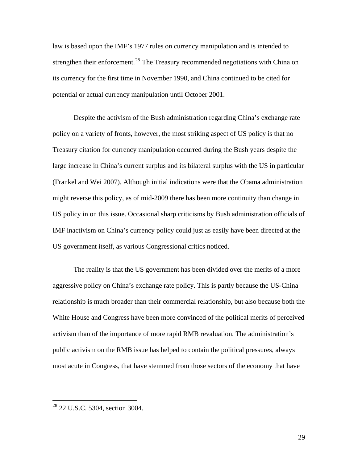law is based upon the IMF's 1977 rules on currency manipulation and is intended to strengthen their enforcement.<sup>[28](#page-28-0)</sup> The Treasury recommended negotiations with China on its currency for the first time in November 1990, and China continued to be cited for potential or actual currency manipulation until October 2001.

Despite the activism of the Bush administration regarding China's exchange rate policy on a variety of fronts, however, the most striking aspect of US policy is that no Treasury citation for currency manipulation occurred during the Bush years despite the large increase in China's current surplus and its bilateral surplus with the US in particular (Frankel and Wei 2007). Although initial indications were that the Obama administration might reverse this policy, as of mid-2009 there has been more continuity than change in US policy in on this issue. Occasional sharp criticisms by Bush administration officials of IMF inactivism on China's currency policy could just as easily have been directed at the US government itself, as various Congressional critics noticed.

The reality is that the US government has been divided over the merits of a more aggressive policy on China's exchange rate policy. This is partly because the US-China relationship is much broader than their commercial relationship, but also because both the White House and Congress have been more convinced of the political merits of perceived activism than of the importance of more rapid RMB revaluation. The administration's public activism on the RMB issue has helped to contain the political pressures, always most acute in Congress, that have stemmed from those sectors of the economy that have

<span id="page-28-0"></span> $^{28}$  22 U.S.C. 5304, section 3004.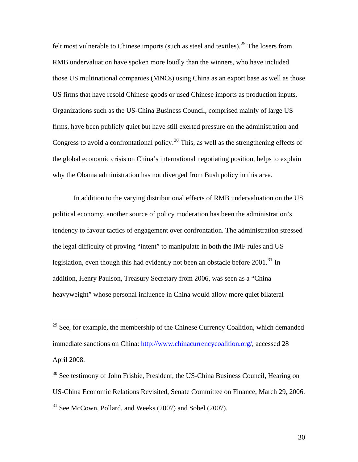felt most vulnerable to Chinese imports (such as steel and textiles).<sup>[29](#page-29-0)</sup> The losers from RMB undervaluation have spoken more loudly than the winners, who have included those US multinational companies (MNCs) using China as an export base as well as those US firms that have resold Chinese goods or used Chinese imports as production inputs. Organizations such as the US-China Business Council, comprised mainly of large US firms, have been publicly quiet but have still exerted pressure on the administration and Congress to avoid a confrontational policy.<sup>[30](#page-29-1)</sup> This, as well as the strengthening effects of the global economic crisis on China's international negotiating position, helps to explain why the Obama administration has not diverged from Bush policy in this area.

In addition to the varying distributional effects of RMB undervaluation on the US political economy, another source of policy moderation has been the administration's tendency to favour tactics of engagement over confrontation. The administration stressed the legal difficulty of proving "intent" to manipulate in both the IMF rules and US legislation, even though this had evidently not been an obstacle before  $2001$ .<sup>[31](#page-29-2)</sup> In addition, Henry Paulson, Treasury Secretary from 2006, was seen as a "China heavyweight" whose personal influence in China would allow more quiet bilateral

<span id="page-29-0"></span> $29$  See, for example, the membership of the Chinese Currency Coalition, which demanded immediate sanctions on China:<http://www.chinacurrencycoalition.org/>, accessed 28 April 2008.

<span id="page-29-2"></span><span id="page-29-1"></span><sup>&</sup>lt;sup>30</sup> See testimony of John Frisbie, President, the US-China Business Council, Hearing on US-China Economic Relations Revisited, Senate Committee on Finance, March 29, 2006.  $31$  See McCown, Pollard, and Weeks (2007) and Sobel (2007).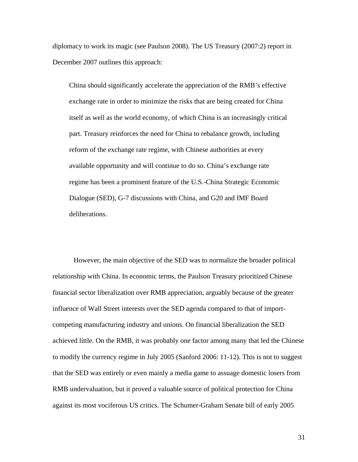diplomacy to work its magic (see Paulson 2008). The US Treasury (2007:2) report in December 2007 outlines this approach:

China should significantly accelerate the appreciation of the RMB's effective exchange rate in order to minimize the risks that are being created for China itself as well as the world economy, of which China is an increasingly critical part. Treasury reinforces the need for China to rebalance growth, including reform of the exchange rate regime, with Chinese authorities at every available opportunity and will continue to do so. China's exchange rate regime has been a prominent feature of the U.S.-China Strategic Economic Dialogue (SED), G-7 discussions with China, and G20 and IMF Board deliberations.

However, the main objective of the SED was to normalize the broader political relationship with China. In economic terms, the Paulson Treasury prioritized Chinese financial sector liberalization over RMB appreciation, arguably because of the greater influence of Wall Street interests over the SED agenda compared to that of importcompeting manufacturing industry and unions. On financial liberalization the SED achieved little. On the RMB, it was probably one factor among many that led the Chinese to modify the currency regime in July 2005 (Sanford 2006: 11-12). This is not to suggest that the SED was entirely or even mainly a media game to assuage domestic losers from RMB undervaluation, but it proved a valuable source of political protection for China against its most vociferous US critics. The Schumer-Graham Senate bill of early 2005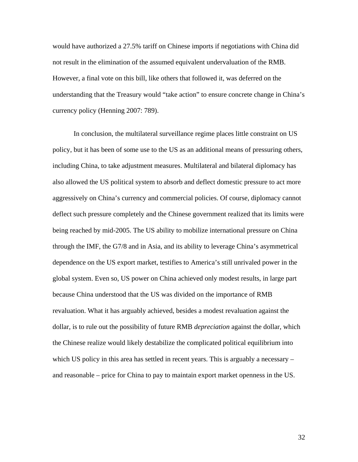would have authorized a 27.5% tariff on Chinese imports if negotiations with China did not result in the elimination of the assumed equivalent undervaluation of the RMB. However, a final vote on this bill, like others that followed it, was deferred on the understanding that the Treasury would "take action" to ensure concrete change in China's currency policy (Henning 2007: 789).

In conclusion, the multilateral surveillance regime places little constraint on US policy, but it has been of some use to the US as an additional means of pressuring others, including China, to take adjustment measures. Multilateral and bilateral diplomacy has also allowed the US political system to absorb and deflect domestic pressure to act more aggressively on China's currency and commercial policies. Of course, diplomacy cannot deflect such pressure completely and the Chinese government realized that its limits were being reached by mid-2005. The US ability to mobilize international pressure on China through the IMF, the G7/8 and in Asia, and its ability to leverage China's asymmetrical dependence on the US export market, testifies to America's still unrivaled power in the global system. Even so, US power on China achieved only modest results, in large part because China understood that the US was divided on the importance of RMB revaluation. What it has arguably achieved, besides a modest revaluation against the dollar, is to rule out the possibility of future RMB *depreciation* against the dollar, which the Chinese realize would likely destabilize the complicated political equilibrium into which US policy in this area has settled in recent years. This is arguably a necessary – and reasonable – price for China to pay to maintain export market openness in the US.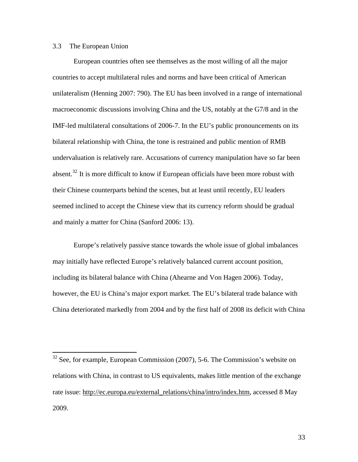### 3.3 The European Union

 $\overline{a}$ 

European countries often see themselves as the most willing of all the major countries to accept multilateral rules and norms and have been critical of American unilateralism (Henning 2007: 790). The EU has been involved in a range of international macroeconomic discussions involving China and the US, notably at the G7/8 and in the IMF-led multilateral consultations of 2006-7. In the EU's public pronouncements on its bilateral relationship with China, the tone is restrained and public mention of RMB undervaluation is relatively rare. Accusations of currency manipulation have so far been absent.<sup>[32](#page-32-0)</sup> It is more difficult to know if European officials have been more robust with their Chinese counterparts behind the scenes, but at least until recently, EU leaders seemed inclined to accept the Chinese view that its currency reform should be gradual and mainly a matter for China (Sanford 2006: 13).

Europe's relatively passive stance towards the whole issue of global imbalances may initially have reflected Europe's relatively balanced current account position, including its bilateral balance with China (Ahearne and Von Hagen 2006). Today, however, the EU is China's major export market. The EU's bilateral trade balance with China deteriorated markedly from 2004 and by the first half of 2008 its deficit with China

<span id="page-32-0"></span> $32$  See, for example, European Commission (2007), 5-6. The Commission's website on relations with China, in contrast to US equivalents, makes little mention of the exchange rate issue: [http://ec.europa.eu/external\\_relations/china/intro/index.htm,](http://ec.europa.eu/external_relations/china/intro/index.htm) accessed 8 May 2009.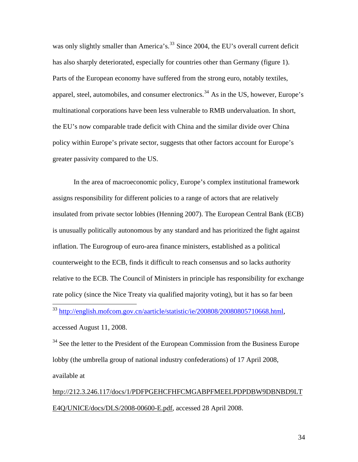was only slightly smaller than America's.<sup>[33](#page-33-0)</sup> Since 2004, the EU's overall current deficit has also sharply deteriorated, especially for countries other than Germany (figure 1). Parts of the European economy have suffered from the strong euro, notably textiles, apparel, steel, automobiles, and consumer electronics.<sup>[34](#page-33-1)</sup> As in the US, however, Europe's multinational corporations have been less vulnerable to RMB undervaluation. In short, the EU's now comparable trade deficit with China and the similar divide over China policy within Europe's private sector, suggests that other factors account for Europe's greater passivity compared to the US.

In the area of macroeconomic policy, Europe's complex institutional framework assigns responsibility for different policies to a range of actors that are relatively insulated from private sector lobbies (Henning 2007). The European Central Bank (ECB) is unusually politically autonomous by any standard and has prioritized the fight against inflation. The Eurogroup of euro-area finance ministers, established as a political counterweight to the ECB, finds it difficult to reach consensus and so lacks authority relative to the ECB. The Council of Ministers in principle has responsibility for exchange rate policy (since the Nice Treaty via qualified majority voting), but it has so far been  $\overline{a}$ 

<span id="page-33-0"></span><sup>33</sup> [http://english.mofcom.gov.cn/aarticle/statistic/ie/200808/20080805710668.html,](http://english.mofcom.gov.cn/aarticle/statistic/ie/200808/20080805710668.html)

accessed August 11, 2008.

<span id="page-33-1"></span> $34$  See the letter to the President of the European Commission from the Business Europe lobby (the umbrella group of national industry confederations) of 17 April 2008, available at

[http://212.3.246.117/docs/1/PDFPGEHCFHFCMGABPFMEELPDPDBW9DBNBD9LT](http://212.3.246.117/docs/1/PDFPGEHCFHFCMGABPFMEELPDPDBW9DBNBD9LTE4Q/UNICE/docs/DLS/2008-00600-E.pdf) [E4Q/UNICE/docs/DLS/2008-00600-E.pdf,](http://212.3.246.117/docs/1/PDFPGEHCFHFCMGABPFMEELPDPDBW9DBNBD9LTE4Q/UNICE/docs/DLS/2008-00600-E.pdf) accessed 28 April 2008.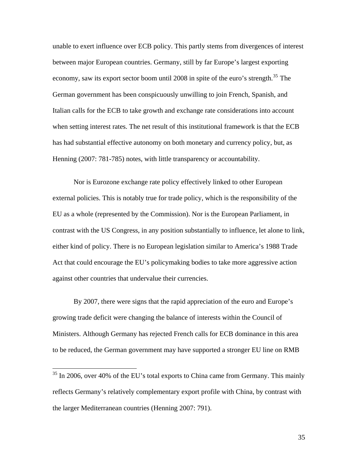unable to exert influence over ECB policy. This partly stems from divergences of interest between major European countries. Germany, still by far Europe's largest exporting economy, saw its export sector boom until 2008 in spite of the euro's strength.<sup>[35](#page-34-0)</sup> The German government has been conspicuously unwilling to join French, Spanish, and Italian calls for the ECB to take growth and exchange rate considerations into account when setting interest rates. The net result of this institutional framework is that the ECB has had substantial effective autonomy on both monetary and currency policy, but, as Henning (2007: 781-785) notes, with little transparency or accountability.

Nor is Eurozone exchange rate policy effectively linked to other European external policies. This is notably true for trade policy, which is the responsibility of the EU as a whole (represented by the Commission). Nor is the European Parliament, in contrast with the US Congress, in any position substantially to influence, let alone to link, either kind of policy. There is no European legislation similar to America's 1988 Trade Act that could encourage the EU's policymaking bodies to take more aggressive action against other countries that undervalue their currencies.

By 2007, there were signs that the rapid appreciation of the euro and Europe's growing trade deficit were changing the balance of interests within the Council of Ministers. Although Germany has rejected French calls for ECB dominance in this area to be reduced, the German government may have supported a stronger EU line on RMB

<u>.</u>

<span id="page-34-0"></span> $35$  In 2006, over 40% of the EU's total exports to China came from Germany. This mainly reflects Germany's relatively complementary export profile with China, by contrast with the larger Mediterranean countries (Henning 2007: 791).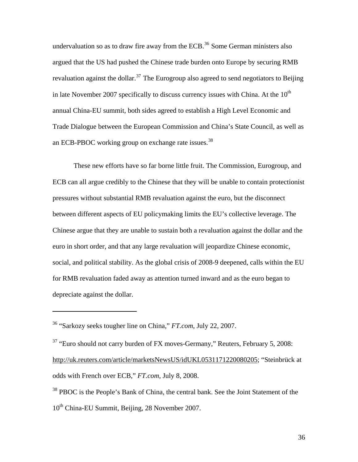undervaluation so as to draw fire away from the ECB.<sup>[36](#page-35-0)</sup> Some German ministers also argued that the US had pushed the Chinese trade burden onto Europe by securing RMB revaluation against the dollar.<sup>[37](#page-35-1)</sup> The Eurogroup also agreed to send negotiators to Beijing in late November 2007 specifically to discuss currency issues with China. At the  $10<sup>th</sup>$ annual China-EU summit, both sides agreed to establish a High Level Economic and Trade Dialogue between the European Commission and China's State Council, as well as an ECB-PBOC working group on exchange rate issues.<sup>[38](#page-35-2)</sup>

These new efforts have so far borne little fruit. The Commission, Eurogroup, and ECB can all argue credibly to the Chinese that they will be unable to contain protectionist pressures without substantial RMB revaluation against the euro, but the disconnect between different aspects of EU policymaking limits the EU's collective leverage. The Chinese argue that they are unable to sustain both a revaluation against the dollar and the euro in short order, and that any large revaluation will jeopardize Chinese economic, social, and political stability. As the global crisis of 2008-9 deepened, calls within the EU for RMB revaluation faded away as attention turned inward and as the euro began to depreciate against the dollar.

<span id="page-35-0"></span><sup>36 &</sup>quot;Sarkozy seeks tougher line on China," *FT.com*, July 22, 2007.

<span id="page-35-1"></span> $37$  "Euro should not carry burden of FX moves-Germany," Reuters, February 5, 2008: [http://uk.reuters.com/article/marketsNewsUS/idUKL0531171220080205;](http://uk.reuters.com/article/marketsNewsUS/idUKL0531171220080205) "Steinbrück at odds with French over ECB," *FT.com*, July 8, 2008.

<span id="page-35-2"></span><sup>&</sup>lt;sup>38</sup> PBOC is the People's Bank of China, the central bank. See the Joint Statement of the 10<sup>th</sup> China-EU Summit, Beijing, 28 November 2007.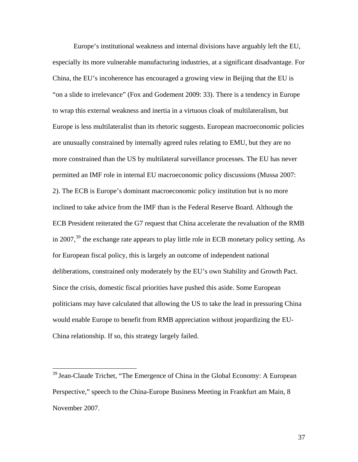Europe's institutional weakness and internal divisions have arguably left the EU, especially its more vulnerable manufacturing industries, at a significant disadvantage. For China, the EU's incoherence has encouraged a growing view in Beijing that the EU is "on a slide to irrelevance" (Fox and Godement 2009: 33). There is a tendency in Europe to wrap this external weakness and inertia in a virtuous cloak of multilateralism, but Europe is less multilateralist than its rhetoric suggests. European macroeconomic policies are unusually constrained by internally agreed rules relating to EMU, but they are no more constrained than the US by multilateral surveillance processes. The EU has never permitted an IMF role in internal EU macroeconomic policy discussions (Mussa 2007: 2). The ECB is Europe's dominant macroeconomic policy institution but is no more inclined to take advice from the IMF than is the Federal Reserve Board. Although the ECB President reiterated the G7 request that China accelerate the revaluation of the RMB in 2007, $39$  the exchange rate appears to play little role in ECB monetary policy setting. As for European fiscal policy, this is largely an outcome of independent national deliberations, constrained only moderately by the EU's own Stability and Growth Pact. Since the crisis, domestic fiscal priorities have pushed this aside. Some European politicians may have calculated that allowing the US to take the lead in pressuring China would enable Europe to benefit from RMB appreciation without jeopardizing the EU-China relationship. If so, this strategy largely failed.

<span id="page-36-0"></span><sup>&</sup>lt;sup>39</sup> Jean-Claude Trichet, "The Emergence of China in the Global Economy: A European Perspective," speech to the China-Europe Business Meeting in Frankfurt am Main, 8 November 2007.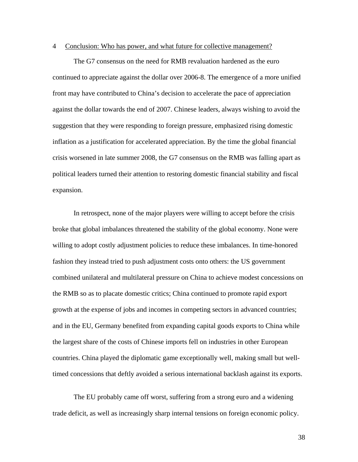#### 4 Conclusion: Who has power, and what future for collective management?

The G7 consensus on the need for RMB revaluation hardened as the euro continued to appreciate against the dollar over 2006-8. The emergence of a more unified front may have contributed to China's decision to accelerate the pace of appreciation against the dollar towards the end of 2007. Chinese leaders, always wishing to avoid the suggestion that they were responding to foreign pressure, emphasized rising domestic inflation as a justification for accelerated appreciation. By the time the global financial crisis worsened in late summer 2008, the G7 consensus on the RMB was falling apart as political leaders turned their attention to restoring domestic financial stability and fiscal expansion.

In retrospect, none of the major players were willing to accept before the crisis broke that global imbalances threatened the stability of the global economy. None were willing to adopt costly adjustment policies to reduce these imbalances. In time-honored fashion they instead tried to push adjustment costs onto others: the US government combined unilateral and multilateral pressure on China to achieve modest concessions on the RMB so as to placate domestic critics; China continued to promote rapid export growth at the expense of jobs and incomes in competing sectors in advanced countries; and in the EU, Germany benefited from expanding capital goods exports to China while the largest share of the costs of Chinese imports fell on industries in other European countries. China played the diplomatic game exceptionally well, making small but welltimed concessions that deftly avoided a serious international backlash against its exports.

The EU probably came off worst, suffering from a strong euro and a widening trade deficit, as well as increasingly sharp internal tensions on foreign economic policy.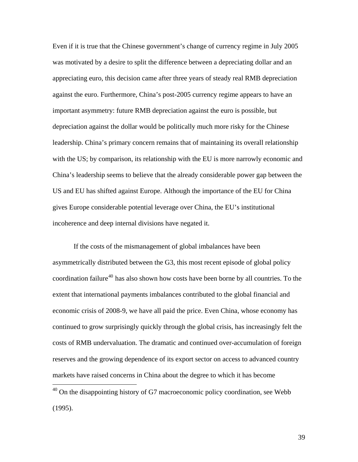Even if it is true that the Chinese government's change of currency regime in July 2005 was motivated by a desire to split the difference between a depreciating dollar and an appreciating euro, this decision came after three years of steady real RMB depreciation against the euro. Furthermore, China's post-2005 currency regime appears to have an important asymmetry: future RMB depreciation against the euro is possible, but depreciation against the dollar would be politically much more risky for the Chinese leadership. China's primary concern remains that of maintaining its overall relationship with the US; by comparison, its relationship with the EU is more narrowly economic and China's leadership seems to believe that the already considerable power gap between the US and EU has shifted against Europe. Although the importance of the EU for China gives Europe considerable potential leverage over China, the EU's institutional incoherence and deep internal divisions have negated it.

If the costs of the mismanagement of global imbalances have been asymmetrically distributed between the G3, this most recent episode of global policy coordination failure<sup>[40](#page-38-0)</sup> has also shown how costs have been borne by all countries. To the extent that international payments imbalances contributed to the global financial and economic crisis of 2008-9, we have all paid the price. Even China, whose economy has continued to grow surprisingly quickly through the global crisis, has increasingly felt the costs of RMB undervaluation. The dramatic and continued over-accumulation of foreign reserves and the growing dependence of its export sector on access to advanced country markets have raised concerns in China about the degree to which it has become 1

<span id="page-38-0"></span> $40$  On the disappointing history of G7 macroeconomic policy coordination, see Webb (1995).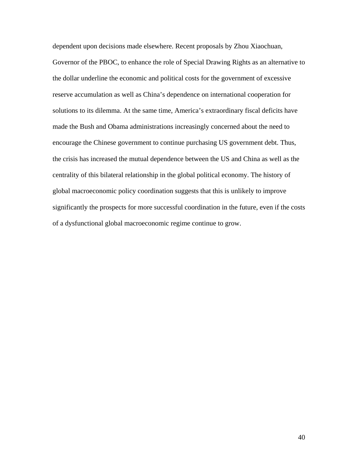dependent upon decisions made elsewhere. Recent proposals by Zhou Xiaochuan, Governor of the PBOC, to enhance the role of Special Drawing Rights as an alternative to the dollar underline the economic and political costs for the government of excessive reserve accumulation as well as China's dependence on international cooperation for solutions to its dilemma. At the same time, America's extraordinary fiscal deficits have made the Bush and Obama administrations increasingly concerned about the need to encourage the Chinese government to continue purchasing US government debt. Thus, the crisis has increased the mutual dependence between the US and China as well as the centrality of this bilateral relationship in the global political economy. The history of global macroeconomic policy coordination suggests that this is unlikely to improve significantly the prospects for more successful coordination in the future, even if the costs of a dysfunctional global macroeconomic regime continue to grow.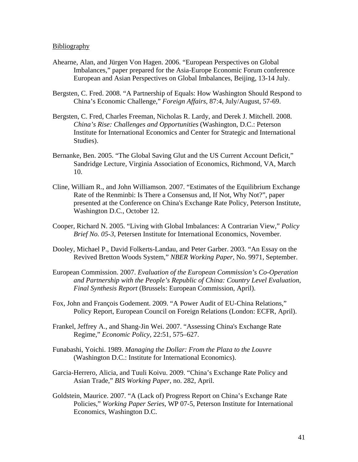#### **Bibliography**

- Ahearne, Alan, and Jürgen Von Hagen. 2006. "European Perspectives on Global Imbalances," paper prepared for the Asia-Europe Economic Forum conference European and Asian Perspectives on Global Imbalances, Beijing, 13-14 July.
- Bergsten, C. Fred. 2008. "A Partnership of Equals: How Washington Should Respond to China's Economic Challenge," *Foreign Affairs*, 87:4, July/August, 57-69.
- Bergsten, C. Fred, Charles Freeman, Nicholas R. Lardy, and Derek J. Mitchell. 2008. *China's Rise: Challenges and Opportunities* (Washington, D.C.: Peterson Institute for International Economics and Center for Strategic and International Studies).
- Bernanke, Ben. 2005. "The Global Saving Glut and the US Current Account Deficit," Sandridge Lecture, Virginia Association of Economics, Richmond, VA, March 10.
- Cline, William R., and John Williamson. 2007. "Estimates of the Equilibrium Exchange Rate of the Renminbi: Is There a Consensus and, If Not, Why Not?", paper presented at the Conference on China's Exchange Rate Policy, Peterson Institute, Washington D.C., October 12.
- Cooper, Richard N. 2005. "Living with Global Imbalances: A Contrarian View," *Policy Brief No. 05-3*, Petersen Institute for International Economics, November.
- Dooley, Michael P., David Folkerts-Landau, and Peter Garber. 2003. "[An Essay on the](http://www.nber.org/papers/w9971)  [Revived Bretton Woods System,"](http://www.nber.org/papers/w9971) *NBER Working Paper*, No. 9971, September.
- European Commission. 2007. *Evaluation of the European Commission's Co-Operation and Partnership with the People's Republic of China: Country Level Evaluation, Final Synthesis Report* (Brussels: European Commission, April).
- Fox, John and François Godement. 2009. "A Power Audit of EU-China Relations," Policy Report, European Council on Foreign Relations (London: ECFR, April).
- Frankel, Jeffrey A., and Shang-Jin Wei. 2007. "Assessing China's Exchange Rate Regime," *Economic Policy*, 22:51, 575–627.
- Funabashi, Yoichi. 1989. *Managing the Dollar: From the Plaza to the Louvre* (Washington D.C.: Institute for International Economics).
- Garcia-Herrero, Alicia, and Tuuli Koivu. 2009. "China's Exchange Rate Policy and Asian Trade," *BIS Working Paper*, no. 282, April.
- Goldstein, Maurice. 2007. "A (Lack of) Progress Report on China's Exchange Rate Policies," *Working Paper Series*, WP 07-5, Peterson Institute for International Economics, Washington D.C.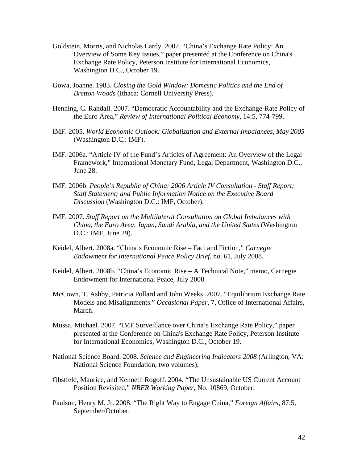- Goldstein, Morris, and Nicholas Lardy. 2007. "China's Exchange Rate Policy: An Overview of Some Key Issues," paper presented at the Conference on China's Exchange Rate Policy, Peterson Institute for International Economics, Washington D.C., October 19.
- Gowa, Joanne. 1983. *Closing the Gold Window: Domestic Politics and the End of Bretton Woods* (Ithaca: Cornell University Press).
- Henning, C. Randall. 2007. "Democratic Accountability and the Exchange-Rate Policy of the Euro Area," *Review of International Political Economy*, 14:5, 774-799.
- IMF. 2005. *World Economic Outlook: Globalization and External Imbalances, May 2005* (Washington D.C.: IMF).
- IMF. 2006a. "Article IV of the Fund's Articles of Agreement: An Overview of the Legal Framework," International Monetary Fund, Legal Department, Washington D.C., June 28.
- IMF. 2006b. *People's Republic of China: 2006 Article IV Consultation Staff Report; Staff Statement; and Public Information Notice on the Executive Board Discussion* (Washington D.C.: IMF, October).
- IMF. 2007. *Staff Report on the Multilateral Consultation on Global Imbalances with China, the Euro Area, Japan, Saudi Arabia, and the United States* (Washington D.C.: IMF, June 29).
- Keidel, Albert. 2008a. "China's Economic Rise Fact and Fiction," *Carnegie Endowment for International Peace Policy Brief*, no. 61, July 2008.
- Keidel, Albert. 2008b. "China's Economic Rise A Technical Note," memo, Carnegie Endowment for International Peace, July 2008.
- McCown, T. Ashby, Patricia Pollard and John Weeks. 2007. "Equilibrium Exchange Rate Models and Misalignments." *Occasional Paper*, 7, Office of International Affairs, March.
- Mussa, Michael. 2007. "IMF Surveillance over China's Exchange Rate Policy," paper presented at the Conference on China's Exchange Rate Policy, Peterson Institute for International Economics, Washington D.C., October 19.
- National Science Board. 2008. *Science and Engineering Indicators 2008* (Arlington, VA: National Science Foundation, two volumes).
- Obstfeld, Maurice, and Kenneth Rogoff. 2004. "The Unsustainable US Current Account Position Revisited," *NBER Working Paper*, No. 10869, October.
- Paulson, Henry M. Jr. 2008. "The Right Way to Engage China," *Foreign Affairs*, 87:5, September/October.